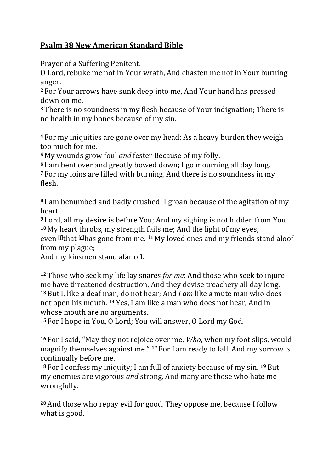## **Psalm 38 New American Standard Bible**

Prayer of a Suffering Penitent.

O Lord, rebuke me not in Your wrath, And chasten me not in Your burning anger.

**<sup>2</sup>** For Your arrows have sunk deep into me, And Your hand has pressed down on me.

**<sup>3</sup>**There is no soundness in my flesh because of Your indignation; There is no health in my bones because of my sin.

**<sup>4</sup>** For my iniquities are gone over my head; As a heavy burden they weigh too much for me.

**<sup>5</sup>** My wounds grow foul *and* fester Because of my folly.

**<sup>6</sup>** I am bent over and greatly bowed down; I go mourning all day long. **<sup>7</sup>** For my loins are filled with burning, And there is no soundness in my flesh.

**<sup>8</sup>** I am benumbed and badly crushed; I groan because of the agitation of my heart.

**<sup>9</sup>** Lord, all my desire is before You; And my sighing is not hidden from You. **<sup>10</sup>** My heart throbs, my strength fails me; And the light of my eyes, even [\[f\]](https://www.biblegateway.com/passage/?search=Psalms+38&version=NASB#fen-NASB-14501f)that [\[g\]](https://www.biblegateway.com/passage/?search=Psalms+38&version=NASB#fen-NASB-14501g)has gone from me. **<sup>11</sup>** My loved ones and my friends stand aloof from my plague;

And my kinsmen stand afar off.

**<sup>12</sup>**Those who seek my life lay snares *for me*; And those who seek to injure me have threatened destruction, And they devise treachery all day long. **<sup>13</sup>**But I, like a deaf man, do not hear; And *I am* like a mute man who does not open his mouth. **<sup>14</sup>** Yes, I am like a man who does not hear, And in whose mouth are no arguments.

**<sup>15</sup>** For I hope in You, O Lord; You will answer, O Lord my God.

**<sup>16</sup>** For I said, "May they not rejoice over me, *Who*, when my foot slips, would magnify themselves against me." **<sup>17</sup>** For I am ready to fall, And my sorrow is continually before me.

**<sup>18</sup>** For I confess my iniquity; I am full of anxiety because of my sin. **19**But my enemies are vigorous *and* strong, And many are those who hate me wrongfully.

**<sup>20</sup>**And those who repay evil for good, They oppose me, because I follow what is good.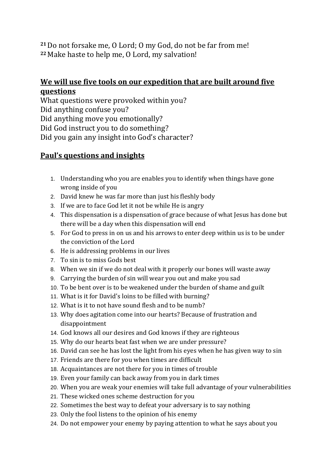**<sup>21</sup>**Do not forsake me, O Lord; O my God, do not be far from me! **<sup>22</sup>** Make haste to help me, O Lord, my salvation!

## **We will use five tools on our expedition that are built around five questions**

What questions were provoked within you? Did anything confuse you? Did anything move you emotionally? Did God instruct you to do something? Did you gain any insight into God's character?

## **Paul's questions and insights**

- 1. Understanding who you are enables you to identify when things have gone wrong inside of you
- 2. David knew he was far more than just his fleshly body
- 3. If we are to face God let it not be while He is angry
- 4. This dispensation is a dispensation of grace because of what Jesus has done but there will be a day when this dispensation will end
- 5. For God to press in on us and his arrows to enter deep within us is to be under the conviction of the Lord
- 6. He is addressing problems in our lives
- 7. To sin is to miss Gods best
- 8. When we sin if we do not deal with it properly our bones will waste away
- 9. Carrying the burden of sin will wear you out and make you sad
- 10. To be bent over is to be weakened under the burden of shame and guilt
- 11. What is it for David's loins to be filled with burning?
- 12. What is it to not have sound flesh and to be numb?
- 13. Why does agitation come into our hearts? Because of frustration and disappointment
- 14. God knows all our desires and God knows if they are righteous
- 15. Why do our hearts beat fast when we are under pressure?
- 16. David can see he has lost the light from his eyes when he has given way to sin
- 17. Friends are there for you when times are difficult
- 18. Acquaintances are not there for you in times of trouble
- 19. Even your family can back away from you in dark times
- 20. When you are weak your enemies will take full advantage of your vulnerabilities
- 21. These wicked ones scheme destruction for you
- 22. Sometimes the best way to defeat your adversary is to say nothing
- 23. Only the fool listens to the opinion of his enemy
- 24. Do not empower your enemy by paying attention to what he says about you